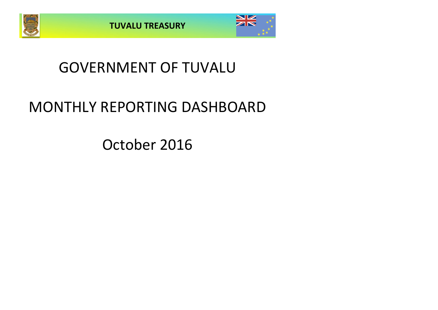



## GOVERNMENT OF TUVALU

# MONTHLY REPORTING DASHBOARD

October 2016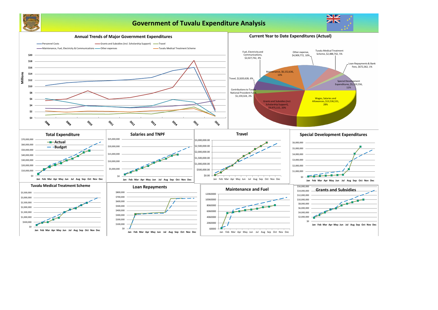

## **Government of Tuvalu Expenditure Analysis**



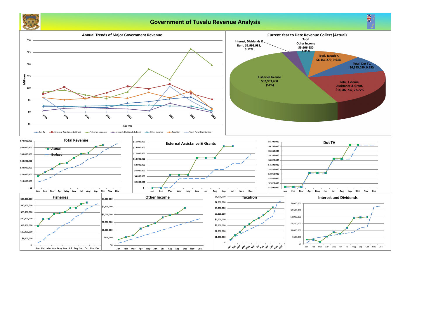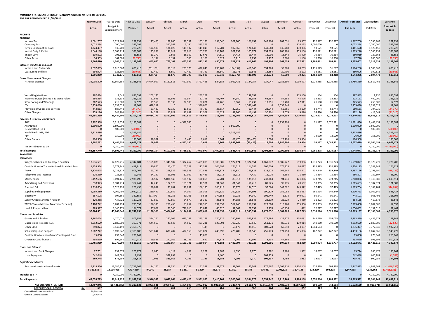## **MONTHLY STATEMENT OF RECEIPTS AND PAYENTS BY NATURE OF EXPENSE**

**FOR THE PERIOD ENDED 31/10/2016**

|                                                                               | <b>Year to Date</b>   | Year to Date          | Year to Date           | January              | February            | March             | April               | May               | June                | July                | August             | September           | October            | November            | December            | <b>Actual + Forecast</b> | 2016 Budget           | Variance               |
|-------------------------------------------------------------------------------|-----------------------|-----------------------|------------------------|----------------------|---------------------|-------------------|---------------------|-------------------|---------------------|---------------------|--------------------|---------------------|--------------------|---------------------|---------------------|--------------------------|-----------------------|------------------------|
|                                                                               | <b>Actual</b>         | Budget &              | Variance               | Actual               | Actual              | Actual            | Actual              | Actual            | Actual              | Actual              | Actual             | Actual              | Actual             | Forecast            | Forecast            | <b>Full Year</b>         | <b>Full Year</b>      | Forecast &             |
|                                                                               |                       | Supplementary         |                        |                      |                     |                   |                     |                   |                     |                     |                    |                     |                    |                     |                     |                          |                       | <b>Budget</b>          |
| <b>RECEIPTS</b>                                                               |                       |                       |                        |                      |                     |                   |                     |                   |                     |                     |                    |                     |                    |                     |                     |                          |                       |                        |
| <b>Taxation</b><br>Income Tax                                                 | 1,601,707             | 1,329,969             | 271,737                | 177,406              | 159,806             | 142,531           | 155,170             | 158,546           | 201,900             | 166,652             | 142,108            | 202,031             | 95,557             | 132,997             | 132,997             | 1,867,700                | 1,595,963             | 271,737                |
| Company Tax                                                                   | 1,022,294             | 700,000               | 322,294                | $\Omega$             | 317,561             | 3,194             | 385,366             | $\Omega$          | $\Omega$            | - 0                 |                    | $\Omega$            | 316,173            | 2,000,000           |                     | 3,022,294                | 2,700,000             | 322,294                |
| <b>Tuvalu Consumption Taxes</b>                                               | 1,224,437             | 936,208               | 288,228                | 124,500              | 124,029             | 111,132           | 111,049             | 112,781           | 107,966             | 124,643             | 141,660            | 136,280             | 130,396            | 93,621              | 93,621              | 1,411,678                | 1,123,450             | 288,228                |
| Import Duty & Excise                                                          | 1,644,198             | 1,305,214             | 338,983                | 125,289              | 149,012             | 189,818           | 155,780             | 158,109           | 201,132             | 105,874             | 194,593            | 205,485             | 159,106            | 130,521             | 130,521             | 1,905,240                | 1,566,257             | 338,983                |
| Import Levy<br><b>Other Taxes</b>                                             | 139,692<br>34,353     | 106,136<br>167,083    | 33,556<br>(132, 730)   | 13,270<br>3,194      | 9,563<br>3,137      | 15,360<br>500     | 12,671<br>2,100     | 14,619<br>6,623   | 14,414<br>3,210     | 13,444<br>1,253     | 12,008<br>7,437    | 18,843<br>5,800     | 15,499<br>1,100    | 10,614<br>16,708    | 10,614<br>16,708    | 160,919<br>67,770        | 127,363<br>200,500    | 33,556<br>(132, 730)   |
|                                                                               | 5,666,680             | 4,544,611             | 1,122,069              | 443,660              | 763,108             | 462,535           | 822,135             | 450,677           | 528,623             | 411,866             | 497,806            | 568,439             | 717,831            | 2,384,461           | 384,461             | 8,435,602                | 7,313,533             | 1,122,069              |
| <b>Interest, Dividends and Rent</b>                                           |                       |                       |                        |                      |                     |                   |                     |                   |                     |                     |                    |                     |                    |                     |                     |                          |                       |                        |
| <b>Interest and Dividends</b>                                                 | 1,697,085             | 1,016,667             | 680,418                | (261, 151)           | 18,119              | 203,373           | 422,849             | 290,709           | (154, 154)          | 418,948             | 694,220            | 35,903              | 28,269             | 1,435,529           | 51,667              | 3,184,280                | 2,503,862             | 680,418                |
| Lease, rent and hire                                                          | 294,904               | 325,509               | (30.605)               | 52,452               | 8,559               | 42,420            | 49,749              | 28,640            | 51,778              | 19,645              | 18,854             | 20,706              | 2,102              | 32,551              | 32,551              | 360,006                  | 390,611               | (30, 605)              |
| <b>Other Government Charaes</b>                                               | 1,991,989             | 1,342,176             | 649,813                | (208, 700)           | 26,678              | 245,793           | 472,598             | 319,349           | (102, 376)          | 438,593             | 713,074            | 56,609              | 30,371             | 1,468,080           | 84,218              | 3,544,286                | 2,894,473             | 649,813                |
| <b>Fisheries Licenses</b>                                                     | 32,903,400            | 27,664,554            | 5,238,845              | 14,674,907           | 5,162,816           | 421,999           | 3,722,466           | 524,184           | 1,069,435           | 3,124,754           | 127,047            | 2,985,194           | 1,090,597          | 1,926,455           | 1,926,455           | 36,756,310               | 31,517,465            | 5,238,845              |
|                                                                               |                       |                       |                        |                      |                     |                   |                     |                   |                     |                     |                    |                     |                    |                     |                     |                          |                       |                        |
|                                                                               |                       |                       |                        |                      |                     |                   |                     |                   |                     |                     |                    |                     |                    |                     |                     |                          |                       |                        |
| <b>Vessel Registrations</b>                                                   | 897,634               | 1,042                 | 896,592                | 203,170              | - 0                 |                   | 243,262             | $\overline{0}$    | $\mathbf{0}$        | 238,052             | 0                  | $\Omega$            | 213,150            | 104                 | 104                 | 897,843                  | 1,250                 | 896,592                |
| Marine Services (Nivaga II & Manu Folau)                                      | 556,454               | 333,333               | 223,121                | 62,691               | 66,596              | 49,994            | 62,798              | 63,407            | 44,140              | 35,358              | 68,557             | 57,388              | 45,526             | 33,333              | 33,333              | 623,121                  | 400,000               | 223,121                |
| Stevedoring and Wharfage                                                      | 282,573               | 215,000               | 67,573                 | 29,556               | 30,139              | 27,585            | 37,071              | 64,466            | 8,867               | 19,239              | 17,951             | 19,789              | 27,911             | 21,500              | 21,500              | 325,573                  | 258,000               | 67,573                 |
|                                                                               | 6,355,030             | 6,338,028             | 17,001                 | 1,628,217            | $\overline{0}$      |                   | ,580,000            | - 0               |                     | 1,591,468           |                    | 1,555,344           |                    | - 0                 |                     | 6,355,030                | 6,338,028             | 17,001                 |
| Provision of Goods and Services                                               | 443,063               | 587,442               | (144, 379)             | 61,430               | 40,132              | 19,553            | 79,720              | 36,617            | 32,059              | 60,444              | 23,044             | 56,865              | 33,199             | 58,744              | 58,744              | 560,551                  | 704,930               | (144, 379)             |
| <b>Other Charges</b>                                                          | 253,186<br>41,691,339 | 344,701<br>35,484,101 | (91, 515)<br>6,207,238 | 24,207<br>16,684,177 | 17,927<br>5,317,609 | 13,681<br>532,812 | 21,309<br>5,746,627 | 24,622<br>713,295 | 81,766<br>1,236,266 | 16,499<br>5,085,814 | 30,801<br>267,400  | 12,679<br>4,687,259 | 9,696<br>1,420,078 | 34,470<br>2,074,607 | 34,470<br>2,074,607 | 322,126<br>45,840,553    | 413,641<br>39,633,315 | (91, 515)<br>6,207,238 |
| <b>External Assistance and Grants</b>                                         |                       |                       |                        |                      |                     |                   |                     |                   |                     |                     |                    |                     |                    |                     |                     |                          |                       |                        |
| <b>ROC</b>                                                                    | 8,497,938             | 6,314,554             | 2,183,384              |                      | $\Omega$            | 4,539,740         |                     |                   |                     | $\overline{0}$      |                    | 3,958,198           |                    | 21,127              | 3,072,771           | 11,591,836               | 9,408,451             | 2,183,384              |
| AusAID (CIF)                                                                  | 1,500,000             | 1,500,000             |                        |                      |                     |                   |                     |                   | 1,500,000           |                     |                    |                     |                    |                     |                     | 1,500,000                | 1,500,000             |                        |
| New Zealand (CIF)                                                             |                       | 500,000               | (500,000               |                      |                     |                   |                     |                   |                     |                     |                    |                     |                    | $\Omega$            |                     |                          | 500,000               | (500,000)              |
| World Bank, IMF, ADB<br><b>PDF</b>                                            | 4,313,486             | 130,000               | 4,313,486<br>(130,000) |                      |                     |                   |                     |                   | 4,313,486           | $\cap$              |                    | $\Omega$            |                    | 13,000              | 13,000              | 4,313,486<br>26,000      | 156,000               | 4,313,486<br>(130,000) |
| <b>Other Donors</b>                                                           | 196,308               |                       | 196,308                | 48,967               |                     | 7,440             | 2,618               | 6,864             | 69,476              | (23, 426)           | 15,608             | 28,796              | 39,964             |                     |                     | 196,308                  |                       | 196,308                |
|                                                                               | 14,507,732            | 8,444,554             | 6,063,178              | 48.967               | $\Omega$            | 4,547,180         | 2,618               | 6.864             | 5.882.962           | (23, 426)           | 15,608             | 3,986,994           | 39,964             | 34,127              | 3,085,771           | 17,627,629               | 11,564,451            | 6,063,178              |
| <b>TTF Distribution to CII</b>                                                |                       | 4,780,000             | (4,780,000)            |                      |                     |                   |                     |                   |                     |                     |                    | $\cap$              |                    | $\Omega$            |                     |                          | 4,780,000             | (4,780,000)            |
| <b>Total Receipts</b>                                                         | 63,857,740            | 54,595,441            | 9,262,299              | 16,968,104           | 6,107,396           | 5,788,320         | 7,043,977           | 1,490,186         | 7,545,475           | 5,912,846           | 1,493,889          | 9,299,302           | 2,208,244          | 5,961,275           | 5,629,057           | 75,448,071               | 66,185,772            | 9,262,299              |
| <b>PAYMENTS</b>                                                               |                       |                       |                        |                      |                     |                   |                     |                   |                     |                     |                    |                     |                    |                     |                     |                          |                       |                        |
| <b>Operations</b>                                                             |                       |                       |                        |                      |                     |                   |                     |                   |                     |                     |                    |                     |                    |                     |                     |                          |                       |                        |
| Wages, Salaries, and Employee Benefits                                        | 13,536,531            | 17,879,215            | 4,342,684              | 1,155,075            | 1,348,582           | 1,322,462         | 1,409,005           | 1,303,385         | 1,927,174           | 1,324,554           | 1,161,072          | 1,885,227           | 699,996            | 1,531,273           | 1,531,273           | 16,599,077               | 18,375,277            | 1,776,200              |
| <b>Contributions to Tuvalu National Provident Fund</b>                        | 1,159,324             | 1,579,241             | 419,917                | 90,840               | 115,470             | 105,528           | 112,338             | 104,695           | 174,515             | 114,585             | 106,609            | 174,328             | 60,41              | 132,395             | 132,395             | 1,424,115                | 1,588,743             | 164,628                |
| Travel                                                                        | 2,820,628             | 3,723,829             | 903,201                | 63,797               | 218,522             | 336,528           | 247,838             | 443,878           | 357,830             | 255,823             | 328,628            | 265,544             | 302,241            | 233,249             | 233,249             | 3,287,126                | 2,798,990             | (488, 136)             |
| Telephone and Internet                                                        | 126,339               | 225,380               | 99,041                 | 14,232               | 13,901              | 17,089            | 13,483              | 18,212            | 11,911              | 4,439               | 16,026             | 5,686               | 11,360             | 15,234              | 15,234              | 156,807                  | 182,807               | 26,000                 |
| Maintenance                                                                   | 6,152,636             | 9,091,126             | 2,938,490              | 66,502               | 5,076,948           | 108,932           | 120,865             | 57,704            | 83,312              | 135,013             | 237,263            | 94,231              | 171,866            | 273,715             | 273,715             | 6,700,066                | 9,313,580             | 2,613,514              |
| Advertising and Provisions                                                    | 818,973               | 1,181,214             | 362,241                | 42,248               | 102,923             | 169,371           | 47,901              | 91,867            | 81,942              | 56,419              | 81,525             | 95,275              | 49,502             | 98,355              | 98,355              | 1,015,683                | 1,187,071             | 171,389                |
| Fuel and Oil                                                                  | 1,318,804             | 1,528,299             | 209,495                | 198,832              | 73,637              | 117,231           | 156,135             | 160,715           | 93,175              | 134,520             | 92,666             | 142,522             | 149,372            | 97,475              | 97,475              | 1,513,754                | 1,169,701             | (344, 054)             |
| Supplies and Equipment                                                        | 1,989,380             | 4,069,499             | 2,080,119              | 239,492              | 157,552             | 94,307            | 198,305             | 169,629           | 260,324             | 164,698             | 190,329            | 252,088             | 262,657            | 261,994             | 249,349             | 2,500,723                | 3,032,149             | 531,427                |
| Electricity                                                                   | 587,108               | 907,660               | 320,552                | (11, 873)            | 46,253              | 80,701            | 9,555               | 177,153           | 17,232              | 24,940              | 101,749            | 1,378               | 140,021            | 80,541              | 80,541              | 748,191                  | 966,495               | 218,304                |
| Senior Citizen Scheme / Pension                                               | 320,488               | 437,721               | 117,233                | 37,860               | 47,867              | 24,677            | 25,389              | 25,142            | 24,388              | 55,848              | 28,619             | 26,229              | 24,469             | 31,823              | 31,823              | 384,135                  | 417,678               | 33,543                 |
| TMTS (Tuvalu Medical Treatment Scheme)                                        | 2,488,742             | 3,282,294             | 793,552                | 196,336              | 256,450             | 51,252            | 270,955             | 192,959           | 562,740             | 256,737             | 127,688            | 318,268             | 255,356            | 250,333             | 250,333             | 2,989,408                | 3,004,000             | 14,592                 |
| Land & Property Rent                                                          | 985,597               | 1,140,171             | 154,574                | 27,029               | 26,540              | 746,015           | 25,842              | 46,320            | 37,069              | 28,359              | 7,478              | 40,454              | 492                | 32,227              | 32,227              | 1,050,052                | 1,132,516             | 82,464                 |
|                                                                               | 32,304,551            | 45,045,648            | 12,741,098             | 2,120,369            | 7,484,646           | 3,174,092         | 2,637,611           | 2,791,659         | 3,631,611           | 2,555,934           | 2,479,652          | 3,301,228           | 2,127,749          | 3,038,616           | 3,025,970           | 38,369,137               | 43,169,007            | 4,799,870              |
| <b>Grants and Subsidies</b>                                                   |                       |                       |                        |                      |                     |                   |                     |                   |                     |                     |                    |                     |                    |                     |                     |                          |                       |                        |
| <b>Grants and Subsidies</b>                                                   | 3,367,074             | 4,170,026             | 802,951                | 394,244              | 292,006             | 623,181           | 295,149             | 170,926           | 290,891             | 595,835             | 172,586            | 429,177             | 103,081            | 342,699             | 554,055             | 4,263,829                | 4,455,671             | 191,842                |
| Outer Island Projects (SDE)                                                   | 2,512,629             | 2,880,000             | 367,371                | 644,560              | 41,536              | 84,512            | 421,241             | 123,794           | 700,230             | 17,540              | 251,171            | 89,031              | 139,014            | 240,000             | 240,000             | 2,992,629                | 2,880,000             | (112, 629)             |
| Other SDEs                                                                    | 790,824               | 3,149,199             | 2,358,375              | $\Omega$             |                     |                   | (100)               |                   | 59,179              | 35,110              | 603,528            | 69,910              | 23,197             | 1,044,503           |                     | 1,835,327                | 3,772,540             | 1,937,213              |
| <b>Scholarships and Support</b>                                               | 3,587,742             | 5,893,542             | 2,305,800              | 591,644              | 630,482             | 437,958           | 521,874             | 243,690           | 428,485             | 111,546             | 255,773            | 171,253             | 195,036            | 462,722             | 442,722             | 4,493,186                | 6,042,665             | 1,549,479              |
| Contribution to Japan Grant Counterpart Fund                                  | 15,000                | 293,847               | 278,847                | $\Omega$             |                     |                   | 15,000              |                   |                     | $\Omega$            |                    | $\Omega$            |                    | $\Omega$            |                     | 15,000                   | 278,847               | 263,847                |
| <b>Overseas Contributions</b>                                                 | 492,669               | 892,680               | 400,01                 | 69,581               | 277,029             | 18,133            | 7,640               | 37,173            | 4,009               | 20,692              | 8,534              | 47,868              | 2,010              |                     |                     | 492,669                  | 993,592               | 500,923                |
|                                                                               | 10,765,939            | 17,279,294            | 6,513,355              | 1,700,029            | 1,241,054           | 1,163,783         | 1,260,804           | 575,583           | 1,482,794           | 780,723             | 1,291,591          | 807,239             | 462,339            | 2,089,924           | 1,236,777           | 14,092,641               | 18,423,315            | 4,330,674              |
| <b>Loans and Interest</b>                                                     |                       |                       |                        |                      |                     |                   |                     |                   |                     |                     |                    |                     |                    |                     |                     |                          |                       |                        |
| Interest and Bank Charges                                                     | 27,701                | 231,578               | 203,877                | 2,045                | 4,119               | 4,269             | 2,221               | 1,882             | 4,096               | 2,270               | 2,382              | 2,486               | 1,932              | 18,007              | 18,007              | 63,714                   | 260,478               | 196,764                |
| Loan Repayment                                                                | 642,048<br>669,748    | 643,681<br>875,259    | 1,633<br>205,511       | 2,045                | 328,893<br>333,012  | 4,269             | 2,221               | 9,400<br>11,282   | 4,096               | 2,270               | 303,755<br>306,137 | 2,486               | 1,932              | 18,007              | 18,007              | 642,048<br>705,761       | 640,281<br>900,759    | (1,767)<br>194,998     |
| <b>Capital Expenditures</b>                                                   |                       |                       |                        |                      |                     |                   |                     |                   |                     |                     |                    |                     |                    |                     |                     |                          |                       |                        |
| Purchase/construction of assets                                               | 5.319.556             | 13.036.925            | 7,717,369              | 94.140               | 38,354              | 81,281            | 51,329              | 31.679            | 81,501              | 55,348              | 976,467            | 2,705,310           | 1,204,148          | 524,219             | 504,218             | 6,347,993                | 4,931,662             | (1,416,332)            |
|                                                                               | 5,319,556             | 13,036,925            | 7,717,369              | 94,140               | 38,354              | 81,281            | 51,329              | 31,679            | 81,501              | 55,348              | 976,467            | 2,705,310           | 1,204,148          | 524,219             | 504,218             | 6,347,993                | 4,931,662             | (1,416,332)            |
| <b>Transfer to TTF</b>                                                        |                       | 4,780,000             | 4,780,000              |                      | 0                   |                   |                     | $\mathbf{0}$      |                     |                     |                    |                     |                    | 0                   |                     |                          | 4,780,000             | 4,780,000              |
| <b>Total Payments</b>                                                         |                       |                       |                        |                      |                     |                   |                     |                   |                     |                     |                    |                     |                    |                     |                     |                          |                       |                        |
|                                                                               | 49,059,793            | 81,017,126            | 31,957,333             | 3,916,583            | 9,097,064           | 4,423,425         | 3,951,965           | 3,410,203         | 5,200,001           | 3,394,275           | 5,053,847          | 6,816,263           | 3,796,168          | 5,670,766           | 4,784,972           | 59,515,532               | 72,204,743            | 12,689,211             |
| <b>NET SURPLUS / (DEFICIT)</b>                                                | 14,797,946            | (26, 421, 685)        | 41,219,632             | 13,051,521           | (2,989,669)         | 1,364,895         | 3,092,012           | (1,920,017)       | 2,345,473           | 2,518,572           | (3,559,957)        | 2,483,039           | (1,587,923)        | 290,509             | 844,084             | 15,932,539               | (6,018,971)           | 21,951,510             |
| \$M\$<br><b>FORECAST CASH POSITION</b><br><b>Consolidated Investment Fund</b> | 37.7<br>35,304,294    |                       |                        | 36.0                 | 33.0                | 34.4              | 37.5                | 35.5              | 37.9                | 40.4                | 36.8               | 39.3                | 37.7               | 38.0                | 38.9                |                          |                       |                        |
| <b>General Current Account</b>                                                | 2,436,444             |                       |                        |                      |                     |                   |                     |                   |                     |                     |                    |                     |                    |                     |                     |                          |                       |                        |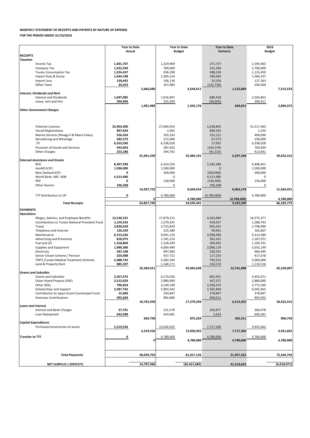|                                                                          | <b>Year to Date</b>  |            |                        | <b>Year to Date</b> | <b>Year to Date</b> |             | 2016                   |             |
|--------------------------------------------------------------------------|----------------------|------------|------------------------|---------------------|---------------------|-------------|------------------------|-------------|
| <b>RECEIPTS</b>                                                          | <b>Actual</b>        |            |                        | <b>Budget</b>       | Variance            |             | <b>Budget</b>          |             |
| <b>Taxation</b>                                                          |                      |            |                        |                     |                     |             |                        |             |
| Income Tax                                                               | 1,601,707            |            | 1,329,969              |                     | 271,737             |             | 1,595,963              |             |
| Company Tax                                                              | 1,022,294            |            | 700,000                |                     | 322,294             |             | 2,700,000              |             |
| <b>Tuvalu Consumption Tax</b>                                            | 1,224,437            |            | 936,208                |                     | 288,228             |             | 1,123,450              |             |
| Import Duty & Excise                                                     | 1,644,198            |            | 1,305,214              |                     | 338,983             |             | 1,566,257              |             |
| Import Levy                                                              | 139,692              |            | 106,136                |                     | 33,556              |             | 127,363                |             |
| <b>Other Taxes</b>                                                       | 34,353               |            | 167,083                |                     | (132, 730)          |             | 200,500                |             |
|                                                                          |                      | 5,666,680  |                        | 4,544,611           |                     | 1,122,069   |                        | 7,313,533   |
| <b>Interest, Dividends and Rent</b>                                      |                      |            |                        |                     |                     |             |                        |             |
| <b>Interest and Dividends</b><br>Lease, rent and hire                    | 1,697,085            |            | 1,016,667<br>325,509   |                     | 680,418             |             | 2,503,862              |             |
|                                                                          | 294,904              | 1,991,989  |                        | 1,342,176           | (30, 605)           | 649,813     | 390,611                | 2,894,473   |
| <b>Other Government Charges</b>                                          |                      |            |                        |                     |                     |             |                        |             |
|                                                                          |                      |            |                        |                     |                     |             |                        |             |
|                                                                          |                      |            |                        |                     |                     |             |                        |             |
|                                                                          |                      |            |                        |                     |                     |             |                        |             |
| <b>Fisheries Licenses</b>                                                | 32,903,400           |            | 27,664,554             |                     | 5,238,845           |             | 31,517,465             |             |
| <b>Vessel Registrations</b>                                              | 897,634              |            | 1,042                  |                     | 896,592             |             | 1,250                  |             |
| Marine Services (Nivaga II & Manu Folau)                                 | 556,454              |            | 333,333                |                     | 223,121             |             | 400,000                |             |
| Stevedoring and Wharfage                                                 | 282,573              |            | 215,000                |                     | 67,573              |             | 258,000                |             |
| .TV<br>Provision of Goods and Services                                   | 6,355,030            |            | 6,338,028              |                     | 17,001              |             | 6,338,028              |             |
|                                                                          | 443,063              |            | 587,442                |                     | (144, 379)          |             | 704,930                |             |
| <b>Other Charges</b>                                                     | 253,186              | 41,691,339 | 344,701                | 35,484,101          | (91, 515)           | 6,207,238   | 413,641                | 39,633,315  |
| <b>External Assistance and Grants</b>                                    |                      |            |                        |                     |                     |             |                        |             |
| <b>ROC</b>                                                               | 8,497,938            |            | 6,314,554              |                     | 2,183,384           |             | 9,408,451              |             |
| AusAID (CIF)                                                             | 1,500,000            |            | 1,500,000              |                     | $\Omega$            |             | 1,500,000              |             |
| New Zealand (CIF)                                                        | 0                    |            | 500,000                |                     | (500,000)           |             | 500,000                |             |
| World Bank, IMF, ADB                                                     | 4,313,486            |            | 0                      |                     | 4,313,486           |             | 0                      |             |
| <b>PDF</b>                                                               | 0                    |            | 130,000                |                     | (130,000)           |             | 156,000                |             |
| <b>Other Donors</b>                                                      | 196,308              |            | 0                      |                     | 196,308             |             | 0                      |             |
|                                                                          |                      | 14,507,732 |                        | 8,444,554           |                     | 6,063,178   |                        | 11,564,451  |
| TTF Distribution to CIF                                                  | 0                    |            | 4,780,000              |                     | (4,780,000)         |             | 4,780,000              |             |
|                                                                          |                      | ΩL         |                        | 4,780,000           |                     | (4,780,000) |                        | 4,780,000   |
| <b>Total Receipts</b>                                                    |                      | 63,857,740 |                        | 54,595,441          |                     | 9,262,299   |                        | 66,185,772  |
| <b>PAYMENTS</b>                                                          |                      |            |                        |                     |                     |             |                        |             |
| <b>Operations</b>                                                        |                      |            |                        |                     |                     |             |                        |             |
| Wages, Salaries, and Employee Benefits                                   | 13,536,531           |            | 17,879,215             |                     | 4,342,684           |             | 18,375,277             |             |
| Contributions to Tuvalu National Provident Fund                          | 1,159,324            |            | 1,579,241              |                     | 419,917             |             | 1,588,743              |             |
| Travel                                                                   | 2,820,628            |            | 3,723,829              |                     | 903,201             |             | 2,798,990              |             |
| Telephone and Internet                                                   | 126,339              |            | 225,380                |                     | 99,041              |             | 182,807                |             |
| Maintenance                                                              | 6,152,636            |            | 9,091,126              |                     | 2,938,490           |             | 9,313,580              |             |
| <b>Advertising and Provisions</b><br>Fuel and Oil                        | 818,973<br>1,318,804 |            | 1,181,214<br>1,528,299 |                     | 362,241<br>209,495  |             | 1,187,071<br>1,169,701 |             |
| Supplies and Equipment                                                   | 1,989,380            |            | 4,069,499              |                     | 2,080,119           |             | 3,032,149              |             |
| Electricity                                                              | 587,108              |            | 907,660                |                     | 320,552             |             | 966,495                |             |
| Senior Citizen Scheme / Pension                                          | 320,488              |            | 437,721                |                     | 117,233             |             | 417,678                |             |
| <b>TMTS (Tuvalu Medical Treatment Scheme)</b>                            | 2,488,742            |            | 3,282,294              |                     | 793,552             |             | 3,004,000              |             |
| Land & Property Rent                                                     | 985,597              |            | 1,140,171              |                     | 154,574             |             | 1,132,516              |             |
|                                                                          |                      | 32,304,551 |                        | 45,045,648          |                     | 12,741,098  |                        | 43,169,007  |
| <b>Grants and Subsidies</b>                                              |                      |            |                        |                     |                     |             |                        |             |
| <b>Grants and Subsidies</b>                                              | 3,367,074            |            | 4,170,026              |                     | 802,951             |             | 4,455,671              |             |
| Outer Island Projects (SDE)                                              | 2,512,629            |            | 2,880,000              |                     | 367,371             |             | 2,880,000              |             |
| Other SDEs                                                               | 790,824              |            | 3,149,199              |                     | 2,358,375           |             | 3,772,540              |             |
| Scholarships and Support<br>Contribution to Japan Grant Counterpart Fund | 3,587,742<br>15,000  |            | 5,893,542<br>293,847   |                     | 2,305,800           |             | 6,042,665              |             |
| <b>Overseas Contributions</b>                                            | 492,669              |            | 892,680                |                     | 278,847<br>400,011  |             | 278,847<br>993,592     |             |
|                                                                          |                      | 10,765,939 |                        | 17,279,294          |                     | 6,513,355   |                        | 18,423,315  |
| <b>Loans and Interest</b>                                                |                      |            |                        |                     |                     |             |                        |             |
| Interest and Bank Charges                                                | 27,701               |            | 231,578                |                     | 203,877             |             | 260,478                |             |
| Loan Repayment                                                           | 642,048              |            | 643,681                |                     | 1,633               |             | 640,281                |             |
|                                                                          |                      | 669,748    |                        | 875,259             |                     | 205,511     |                        | 900,759     |
| <b>Capital Expenditures</b>                                              |                      |            |                        |                     |                     |             |                        |             |
| Purchase/construction of assets                                          | 5,319,556            |            | 13,036,925             |                     | 7,717,369           |             | 4,931,662              |             |
|                                                                          |                      | 5,319,556  |                        | 13,036,925          |                     | 7,717,369   |                        | 4,931,662   |
| <b>Transfer to TTF</b>                                                   | 0                    |            | 4,780,000              |                     | 4,780,000           |             | 4,780,000              |             |
|                                                                          |                      | 0          |                        | 4,780,000           |                     | 4,780,000   |                        | 4,780,000   |
|                                                                          |                      |            |                        |                     |                     |             |                        |             |
|                                                                          |                      |            |                        |                     |                     |             |                        |             |
| <b>Total Payments</b>                                                    |                      | 49,059,793 |                        | 81,017,126          |                     | 31,957,333  |                        | 72,204,743  |
|                                                                          |                      |            |                        |                     |                     |             |                        |             |
| <b>NET SURPLUS / (DEFECIT)</b>                                           |                      | 14,797,946 |                        | (26, 421, 685)      |                     | 41,219,632  |                        | (6,018,971) |

### **MONTHLY STATEMENT OF RECEIPTS AND PAYENTS BY NATURE OF EXPENSE**

**FOR THE PERIOD ENDED 31/10/2016**